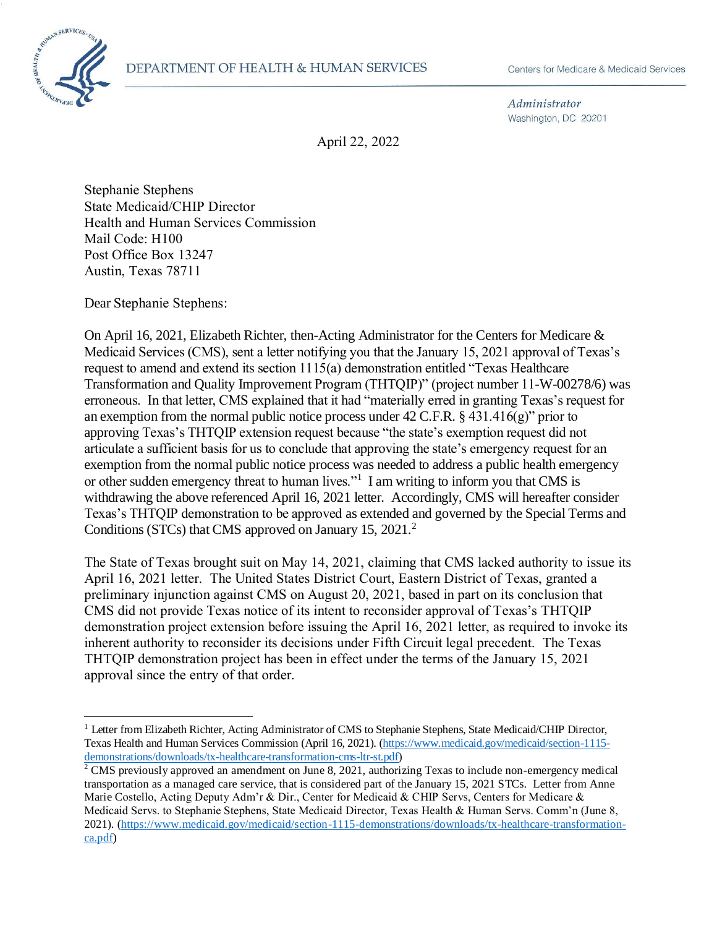

 $\overline{a}$ 

Administrator Washington, DC 20201

April 22, 2022

Stephanie Stephens State Medicaid/CHIP Director Health and Human Services Commission Mail Code: H100 Post Office Box 13247 Austin, Texas 78711

Dear Stephanie Stephens:

On April 16, 2021, Elizabeth Richter, then-Acting Administrator for the Centers for Medicare & Medicaid Services (CMS), sent a letter notifying you that the January 15, 2021 approval of Texas's request to amend and extend its section 1115(a) demonstration entitled "Texas Healthcare Transformation and Quality Improvement Program (THTQIP)" (project number 11-W-00278/6) was erroneous. In that letter, CMS explained that it had "materially erred in granting Texas's request for an exemption from the normal public notice process under 42 C.F.R. § 431.416(g)" prior to approving Texas's THTQIP extension request because "the state's exemption request did not articulate a sufficient basis for us to conclude that approving the state's emergency request for an exemption from the normal public notice process was needed to address a public health emergency or other sudden emergency threat to human lives."<sup>1</sup> I am writing to inform you that CMS is withdrawing the above referenced April 16, 2021 letter. Accordingly, CMS will hereafter consider Texas's THTQIP demonstration to be approved as extended and governed by the Special Terms and Conditions (STCs) that CMS approved on January 15, 2021.<sup>2</sup>

The State of Texas brought suit on May 14, 2021, claiming that CMS lacked authority to issue its April 16, 2021 letter. The United States District Court, Eastern District of Texas, granted a preliminary injunction against CMS on August 20, 2021, based in part on its conclusion that CMS did not provide Texas notice of its intent to reconsider approval of Texas's THTQIP demonstration project extension before issuing the April 16, 2021 letter, as required to invoke its inherent authority to reconsider its decisions under Fifth Circuit legal precedent. The Texas THTQIP demonstration project has been in effect under the terms of the January 15, 2021 approval since the entry of that order.

<sup>&</sup>lt;sup>1</sup> Letter from Elizabeth Richter, Acting Administrator of CMS to Stephanie Stephens, State Medicaid/CHIP Director, Texas Health and Human Services Commission (April 16, 2021). [\(https://www.medicaid.gov/medicaid/section-1115](https://www.medicaid.gov/medicaid/section-1115-demonstrations/downloads/tx-healthcare-transformation-cms-ltr-st.pdf) [demonstrations/downloads/tx-healthcare-transformation-cms-ltr-st.pdf\)](https://www.medicaid.gov/medicaid/section-1115-demonstrations/downloads/tx-healthcare-transformation-cms-ltr-st.pdf)

<sup>&</sup>lt;sup>2</sup> CMS previously approved an amendment on June 8, 2021, authorizing Texas to include non-emergency medical transportation as a managed care service, that is considered part of the January 15, 2021 STCs. Letter from Anne Marie Costello, Acting Deputy Adm'r & Dir., Center for Medicaid & CHIP Servs, Centers for Medicare & Medicaid Servs. to Stephanie Stephens, State Medicaid Director, Texas Health & Human Servs. Comm'n (June 8, 2021). [\(https://www.medicaid.gov/medicaid/section-1115-demonstrations/downloads/tx-healthcare-transformation](https://www.medicaid.gov/medicaid/section-1115-demonstrations/downloads/tx-healthcare-transformation-ca.pdf)[ca.pdf\)](https://www.medicaid.gov/medicaid/section-1115-demonstrations/downloads/tx-healthcare-transformation-ca.pdf)